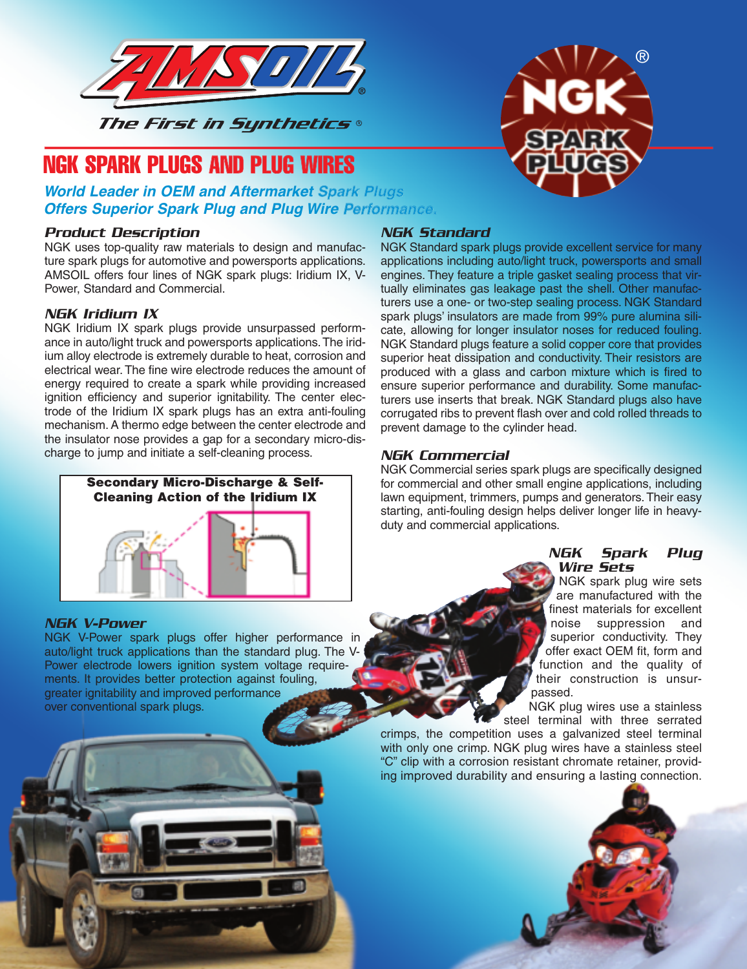

# NGK SPARK PLUGS AND PLUG WIRES

### **World Leader in OEM and Aftermarket Spark Plugs Offers Superior Spark Plug and Plug Wire Performance.**

#### Product Description

NGK uses top-quality raw materials to design and manufacture spark plugs for automotive and powersports applications. AMSOIL offers four lines of NGK spark plugs: Iridium IX, V-Power, Standard and Commercial.

#### NGK Iridium IX

NGK Iridium IX spark plugs provide unsurpassed performance in auto/light truck and powersports applications.The iridium alloy electrode is extremely durable to heat, corrosion and electrical wear. The fine wire electrode reduces the amount of energy required to create a spark while providing increased ignition efficiency and superior ignitability. The center electrode of the Iridium IX spark plugs has an extra anti-fouling mechanism. A thermo edge between the center electrode and the insulator nose provides a gap for a secondary micro-discharge to jump and initiate a self-cleaning process.



#### NGK V-Power

NGK V-Power spark plugs offer higher performance in auto/light truck applications than the standard plug. The V Power electrode lowers ignition system voltage requirements. It provides better protection against fouling, greater ignitability and improved performance over conventional spark plugs.

## NGK Standard

NGK Standard spark plugs provide excellent service for many applications including auto/light truck, powersports and small engines. They feature a triple gasket sealing process that virtually eliminates gas leakage past the shell. Other manufacturers use a one- or two-step sealing process. NGK Standard spark plugs' insulators are made from 99% pure alumina silicate, allowing for longer insulator noses for reduced fouling. NGK Standard plugs feature a solid copper core that provides superior heat dissipation and conductivity. Their resistors are produced with a glass and carbon mixture which is fired to ensure superior performance and durability. Some manufacturers use inserts that break. NGK Standard plugs also have corrugated ribs to prevent flash over and cold rolled threads to prevent damage to the cylinder head.

#### NGK Commercial

NGK Commercial series spark plugs are specifically designed for commercial and other small engine applications, including lawn equipment, trimmers, pumps and generators. Their easy starting, anti-fouling design helps deliver longer life in heavyduty and commercial applications.

#### NGK Spark Plug Wire Sets

®

NGK spark plug wire sets are manufactured with the finest materials for excellent noise suppression and superior conductivity. They offer exact OEM fit, form and function and the quality of their construction is unsurpassed.

NGK plug wires use a stainless steel terminal with three serrated

crimps, the competition uses a galvanized steel terminal with only one crimp. NGK plug wires have a stainless steel "C" clip with a corrosion resistant chromate retainer, providing improved durability and ensuring a lasting connection.